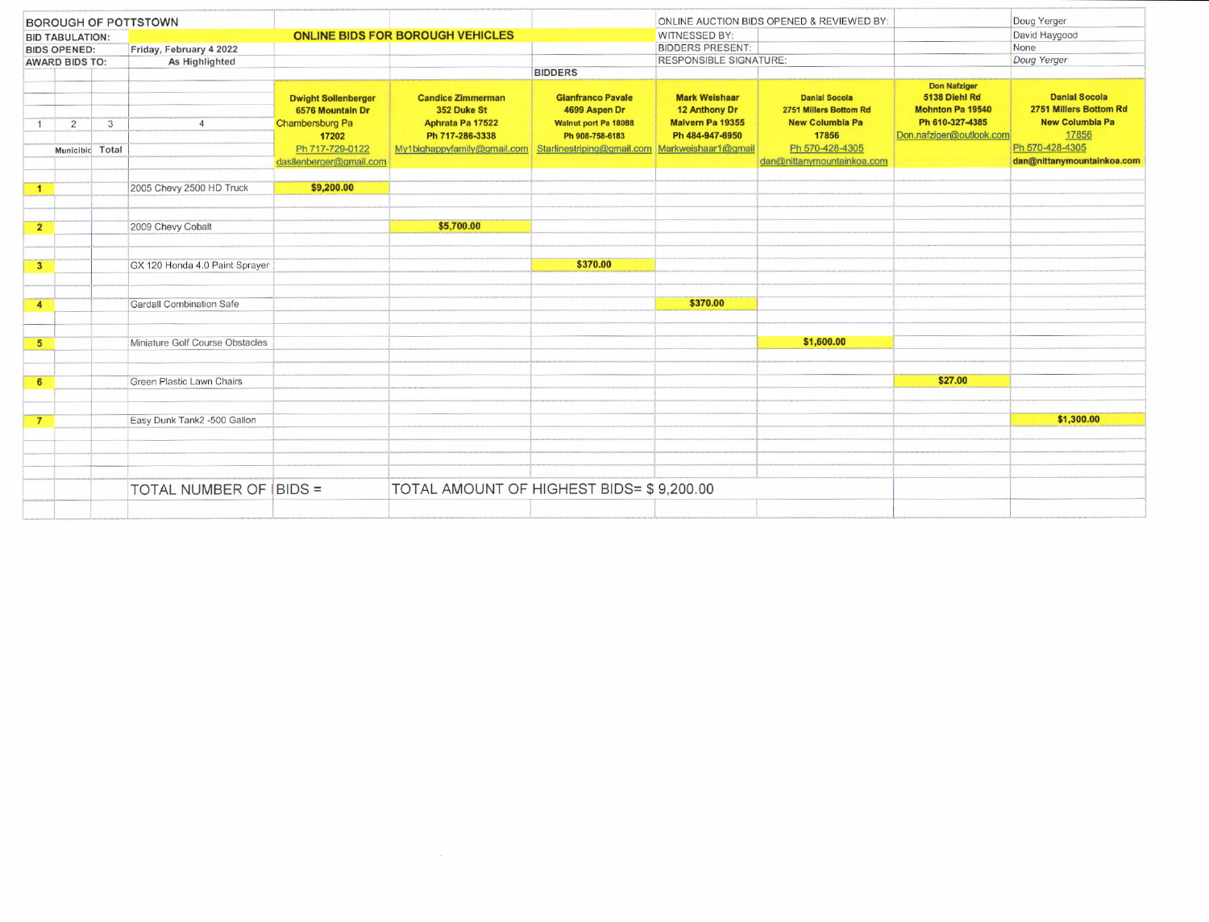| <b>BOROUGH OF POTTSTOWN</b>                  |                                   |   |                                  |                                                                                               |                                                                                                               |                                                                                                                    |                                                                                                     | ONLINE AUCTION BIDS OPENED & REVIEWED BY:                                                            |                                                                                         | Doug Yerger                                                                                          |
|----------------------------------------------|-----------------------------------|---|----------------------------------|-----------------------------------------------------------------------------------------------|---------------------------------------------------------------------------------------------------------------|--------------------------------------------------------------------------------------------------------------------|-----------------------------------------------------------------------------------------------------|------------------------------------------------------------------------------------------------------|-----------------------------------------------------------------------------------------|------------------------------------------------------------------------------------------------------|
| <b>BID TABULATION:</b>                       |                                   |   |                                  |                                                                                               | <b>ONLINE BIDS FOR BOROUGH VEHICLES</b>                                                                       |                                                                                                                    | <b>WITNESSED BY:</b>                                                                                |                                                                                                      |                                                                                         | David Haygood                                                                                        |
| <b>BIDS OPENED:</b><br><b>AWARD BIDS TO:</b> |                                   |   | Friday, February 4 2022          |                                                                                               |                                                                                                               |                                                                                                                    | <b>BIDDERS PRESENT:</b>                                                                             |                                                                                                      |                                                                                         | None                                                                                                 |
|                                              |                                   |   | As Highlighted                   |                                                                                               |                                                                                                               |                                                                                                                    | <b>RESPONSIBLE SIGNATURE:</b>                                                                       |                                                                                                      |                                                                                         | Doug Yerger                                                                                          |
|                                              |                                   |   |                                  |                                                                                               |                                                                                                               | <b>BIDDERS</b>                                                                                                     |                                                                                                     |                                                                                                      |                                                                                         |                                                                                                      |
|                                              |                                   |   |                                  |                                                                                               |                                                                                                               |                                                                                                                    |                                                                                                     |                                                                                                      | <b>Don Nafziger</b>                                                                     |                                                                                                      |
|                                              | $\overline{2}$<br>Municibic Total | 3 |                                  | <b>Dwight Sollenberger</b><br>6576 Mountain Dr<br>Chambersburg Pa<br>17202<br>Ph 717-729-0122 | <b>Candice Zimmerman</b><br>352 Duke St<br>Aphrata Pa 17522<br>Ph 717-286-3338<br>My1bighappyfamily@gmail.com | <b>Gianfranco Pavale</b><br>4699 Aspen Dr<br>Walnut port Pa 18088<br>Ph 908-758-6183<br>Starlinestriping@gmail.com | <b>Mark Weishaar</b><br>12 Anthony Dr<br>Malvern Pa 19355<br>Ph 484-947-6950<br>Markweishaar1@gmail | <b>Danial Socola</b><br>2751 Millers Bottom Rd<br><b>New Columbia Pa</b><br>17856<br>Ph 570-428-4305 | 5138 Diehl Rd<br><b>Mohnton Pa 19540</b><br>Ph 610-327-4385<br>Don.nafziger@outlook.com | <b>Danial Socola</b><br>2751 Millers Bottom Rd<br><b>New Columbia Pa</b><br>17856<br>Ph 570-428-4305 |
|                                              |                                   |   |                                  | dasllenberger@gmail.com                                                                       |                                                                                                               |                                                                                                                    |                                                                                                     | dan@nittanymountainkoa.com                                                                           |                                                                                         | dan@nittanymountainkoa.com                                                                           |
|                                              |                                   |   |                                  |                                                                                               |                                                                                                               |                                                                                                                    |                                                                                                     |                                                                                                      |                                                                                         |                                                                                                      |
| $\mathbf{1}$                                 |                                   |   | 2005 Chevy 2500 HD Truck         | \$9,200.00                                                                                    |                                                                                                               |                                                                                                                    |                                                                                                     |                                                                                                      |                                                                                         |                                                                                                      |
|                                              |                                   |   |                                  |                                                                                               |                                                                                                               |                                                                                                                    |                                                                                                     |                                                                                                      |                                                                                         |                                                                                                      |
|                                              |                                   |   |                                  |                                                                                               |                                                                                                               |                                                                                                                    |                                                                                                     |                                                                                                      |                                                                                         |                                                                                                      |
| $\overline{2}$                               |                                   |   | 2009 Chevy Cobalt                |                                                                                               | \$5,700.00                                                                                                    |                                                                                                                    |                                                                                                     |                                                                                                      |                                                                                         |                                                                                                      |
|                                              |                                   |   |                                  |                                                                                               |                                                                                                               |                                                                                                                    |                                                                                                     |                                                                                                      |                                                                                         |                                                                                                      |
|                                              |                                   |   |                                  |                                                                                               |                                                                                                               |                                                                                                                    |                                                                                                     |                                                                                                      |                                                                                         |                                                                                                      |
| $\overline{\mathbf{3}}$                      |                                   |   | GX 120 Honda 4.0 Paint Sprayer   |                                                                                               |                                                                                                               | \$370.00                                                                                                           |                                                                                                     |                                                                                                      |                                                                                         |                                                                                                      |
|                                              |                                   |   |                                  |                                                                                               |                                                                                                               |                                                                                                                    |                                                                                                     |                                                                                                      |                                                                                         |                                                                                                      |
|                                              |                                   |   |                                  |                                                                                               |                                                                                                               |                                                                                                                    |                                                                                                     |                                                                                                      |                                                                                         |                                                                                                      |
| $\overline{4}$                               |                                   |   | Gardall Combination Safe         |                                                                                               |                                                                                                               |                                                                                                                    | \$370.00                                                                                            |                                                                                                      |                                                                                         |                                                                                                      |
|                                              |                                   |   |                                  |                                                                                               |                                                                                                               |                                                                                                                    |                                                                                                     |                                                                                                      |                                                                                         |                                                                                                      |
|                                              |                                   |   |                                  |                                                                                               |                                                                                                               |                                                                                                                    |                                                                                                     |                                                                                                      |                                                                                         |                                                                                                      |
| 5                                            |                                   |   | Miniature Golf Course Obstacles  |                                                                                               |                                                                                                               |                                                                                                                    |                                                                                                     | \$1,600.00                                                                                           |                                                                                         |                                                                                                      |
|                                              |                                   |   |                                  |                                                                                               |                                                                                                               |                                                                                                                    |                                                                                                     |                                                                                                      |                                                                                         |                                                                                                      |
|                                              |                                   |   |                                  |                                                                                               |                                                                                                               |                                                                                                                    |                                                                                                     |                                                                                                      |                                                                                         |                                                                                                      |
| 6                                            |                                   |   | <b>Green Plastic Lawn Chairs</b> |                                                                                               |                                                                                                               |                                                                                                                    |                                                                                                     |                                                                                                      | \$27.00                                                                                 |                                                                                                      |
|                                              |                                   |   |                                  |                                                                                               |                                                                                                               |                                                                                                                    |                                                                                                     |                                                                                                      |                                                                                         |                                                                                                      |
|                                              |                                   |   | Easy Dunk Tank2 -500 Gallon      |                                                                                               |                                                                                                               |                                                                                                                    |                                                                                                     |                                                                                                      |                                                                                         | \$1,300.00                                                                                           |
| $\overline{7}$                               |                                   |   |                                  |                                                                                               |                                                                                                               |                                                                                                                    |                                                                                                     |                                                                                                      |                                                                                         |                                                                                                      |
|                                              |                                   |   |                                  |                                                                                               |                                                                                                               |                                                                                                                    |                                                                                                     |                                                                                                      |                                                                                         |                                                                                                      |
|                                              |                                   |   |                                  |                                                                                               |                                                                                                               |                                                                                                                    |                                                                                                     |                                                                                                      |                                                                                         |                                                                                                      |
|                                              |                                   |   |                                  |                                                                                               |                                                                                                               |                                                                                                                    |                                                                                                     |                                                                                                      |                                                                                         |                                                                                                      |
|                                              |                                   |   |                                  |                                                                                               | TOTAL AMOUNT OF HIGHEST BIDS= \$9,200.00                                                                      |                                                                                                                    |                                                                                                     |                                                                                                      |                                                                                         |                                                                                                      |
|                                              |                                   |   | TOTAL NUMBER OF BIDS =           |                                                                                               |                                                                                                               |                                                                                                                    |                                                                                                     |                                                                                                      |                                                                                         |                                                                                                      |
|                                              |                                   |   |                                  |                                                                                               |                                                                                                               |                                                                                                                    |                                                                                                     |                                                                                                      |                                                                                         |                                                                                                      |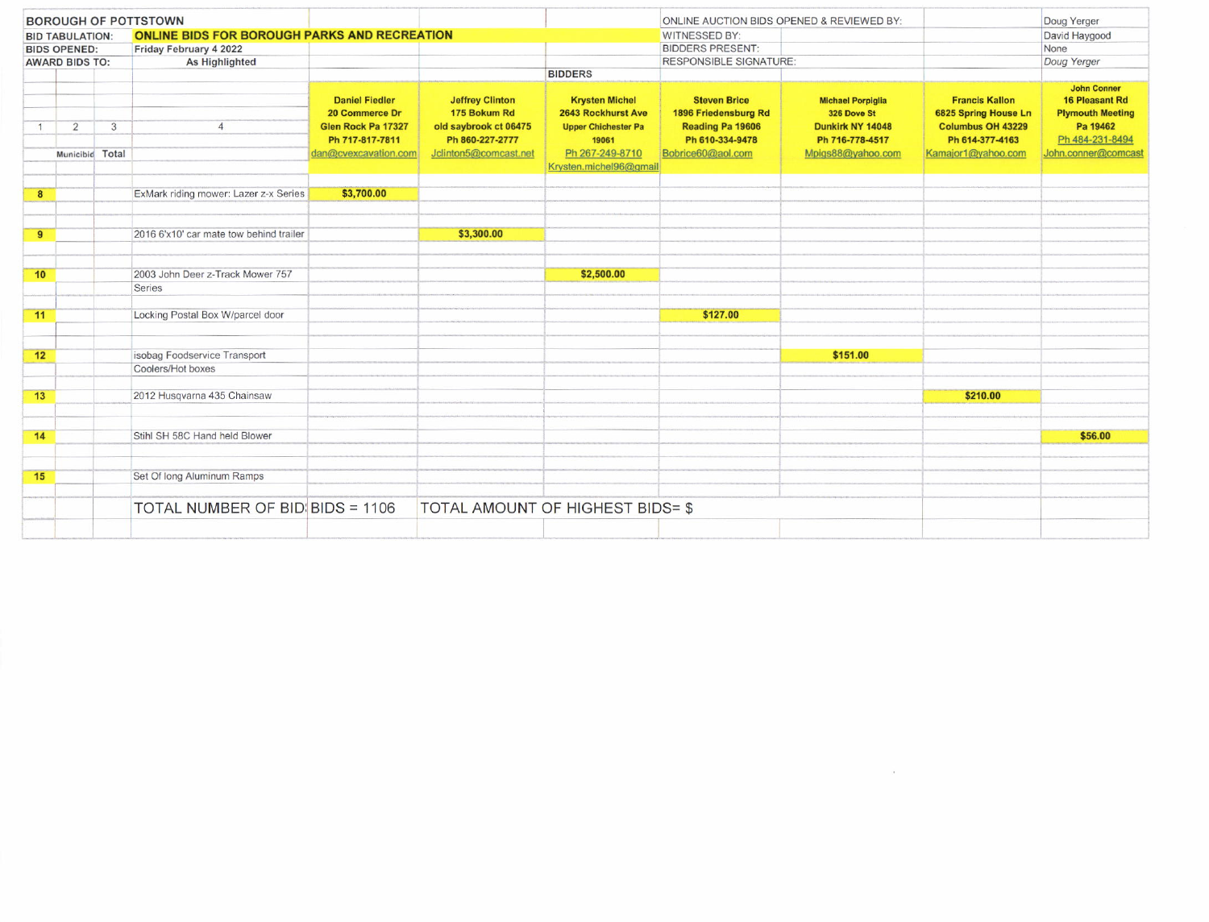| <b>BOROUGH OF POTTSTOWN</b>                  |                |                      |                                                     |                                                                                                          |                                                                                                             |                                                                                                                                 | ONLINE AUCTION BIDS OPENED & REVIEWED BY:                                                               |                                                                                                     |                                                                                                                    | Doug Yerger                                                                                                                  |
|----------------------------------------------|----------------|----------------------|-----------------------------------------------------|----------------------------------------------------------------------------------------------------------|-------------------------------------------------------------------------------------------------------------|---------------------------------------------------------------------------------------------------------------------------------|---------------------------------------------------------------------------------------------------------|-----------------------------------------------------------------------------------------------------|--------------------------------------------------------------------------------------------------------------------|------------------------------------------------------------------------------------------------------------------------------|
| <b>BID TABULATION:</b>                       |                |                      | <b>ONLINE BIDS FOR BOROUGH PARKS AND RECREATION</b> |                                                                                                          |                                                                                                             |                                                                                                                                 | <b>WITNESSED BY:</b>                                                                                    |                                                                                                     |                                                                                                                    | David Haygood                                                                                                                |
| <b>BIDS OPENED:</b><br><b>AWARD BIDS TO:</b> |                |                      | Friday February 4 2022                              |                                                                                                          |                                                                                                             |                                                                                                                                 | <b>BIDDERS PRESENT:</b>                                                                                 |                                                                                                     |                                                                                                                    | None                                                                                                                         |
|                                              |                |                      | As Highlighted                                      |                                                                                                          |                                                                                                             |                                                                                                                                 | <b>RESPONSIBLE SIGNATURE:</b>                                                                           |                                                                                                     |                                                                                                                    | Doug Yerger                                                                                                                  |
|                                              |                |                      |                                                     |                                                                                                          |                                                                                                             | <b>BIDDERS</b>                                                                                                                  |                                                                                                         |                                                                                                     |                                                                                                                    |                                                                                                                              |
| $\mathbf{1}$                                 | $\overline{2}$ | 3<br>Municibid Total | $\overline{4}$                                      | <b>Daniel Fiedler</b><br>20 Commerce Dr<br>Glen Rock Pa 17327<br>Ph 717-817-7811<br>dan@cvexcavation.com | <b>Jeffrey Clinton</b><br>175 Bokum Rd<br>old saybrook ct 06475<br>Ph 860-227-2777<br>Jclinton5@comcast.net | <b>Krysten Michel</b><br>2643 Rockhurst Ave<br><b>Upper Chichester Pa</b><br>19061<br>Ph 267-249-8710<br>Krysten.michel96@gmail | <b>Steven Brice</b><br>1896 Friedensburg Rd<br>Reading Pa 19606<br>Ph 610-334-9478<br>Bobrice60@aol.com | <b>Michael Porpiglia</b><br>326 Dove St<br>Dunkirk NY 14048<br>Ph 716-778-4517<br>Mpigs88@yahoo.com | <b>Francis Kallon</b><br>6825 Spring House Ln<br><b>Columbus OH 43229</b><br>Ph 614-377-4163<br>Kamajor1@yahoo.com | <b>John Conner</b><br><b>16 Pleasant Rd</b><br><b>Plymouth Meeting</b><br>Pa 19462<br>Ph 484-231-8494<br>John.conner@comcast |
|                                              |                |                      |                                                     |                                                                                                          |                                                                                                             |                                                                                                                                 |                                                                                                         |                                                                                                     |                                                                                                                    |                                                                                                                              |
| 8                                            |                |                      | ExMark riding mower: Lazer z-x Series               | \$3,700.00                                                                                               |                                                                                                             |                                                                                                                                 |                                                                                                         |                                                                                                     |                                                                                                                    |                                                                                                                              |
| 9                                            |                |                      | 2016 6'x10' car mate tow behind trailer             |                                                                                                          | \$3,300.00                                                                                                  |                                                                                                                                 |                                                                                                         |                                                                                                     |                                                                                                                    |                                                                                                                              |
|                                              |                |                      |                                                     |                                                                                                          |                                                                                                             |                                                                                                                                 |                                                                                                         |                                                                                                     |                                                                                                                    |                                                                                                                              |
| 10                                           |                |                      | 2003 John Deer z-Track Mower 757                    |                                                                                                          |                                                                                                             | \$2,500.00                                                                                                                      |                                                                                                         |                                                                                                     |                                                                                                                    |                                                                                                                              |
|                                              |                |                      | Series                                              |                                                                                                          |                                                                                                             |                                                                                                                                 |                                                                                                         |                                                                                                     |                                                                                                                    |                                                                                                                              |
| 11                                           |                |                      | Locking Postal Box W/parcel door                    |                                                                                                          |                                                                                                             |                                                                                                                                 | \$127.00                                                                                                |                                                                                                     |                                                                                                                    |                                                                                                                              |
| 12                                           |                |                      | isobag Foodservice Transport                        |                                                                                                          |                                                                                                             |                                                                                                                                 |                                                                                                         | \$151.00                                                                                            |                                                                                                                    |                                                                                                                              |
|                                              |                |                      | Coolers/Hot boxes                                   |                                                                                                          |                                                                                                             |                                                                                                                                 |                                                                                                         |                                                                                                     |                                                                                                                    |                                                                                                                              |
| 13                                           |                |                      | 2012 Husqvarna 435 Chainsaw                         |                                                                                                          |                                                                                                             |                                                                                                                                 |                                                                                                         |                                                                                                     | \$210.00                                                                                                           |                                                                                                                              |
| 14                                           |                |                      | Stihl SH 58C Hand held Blower                       |                                                                                                          |                                                                                                             |                                                                                                                                 |                                                                                                         |                                                                                                     |                                                                                                                    | \$56.00                                                                                                                      |
|                                              |                |                      |                                                     |                                                                                                          |                                                                                                             |                                                                                                                                 |                                                                                                         |                                                                                                     |                                                                                                                    |                                                                                                                              |
| 15                                           |                |                      | Set Of long Aluminum Ramps                          |                                                                                                          |                                                                                                             |                                                                                                                                 |                                                                                                         |                                                                                                     |                                                                                                                    |                                                                                                                              |
|                                              |                |                      | TOTAL NUMBER OF BID BIDS = 1106                     |                                                                                                          | TOTAL AMOUNT OF HIGHEST BIDS= \$                                                                            |                                                                                                                                 |                                                                                                         |                                                                                                     |                                                                                                                    |                                                                                                                              |
|                                              |                |                      |                                                     |                                                                                                          |                                                                                                             |                                                                                                                                 |                                                                                                         |                                                                                                     |                                                                                                                    |                                                                                                                              |

 $\alpha$  ,  $\alpha$  ,  $\alpha$  ,  $\alpha$  ,  $\alpha$  ,  $\alpha$  ,  $\alpha$  ,  $\alpha$  ,  $\alpha$  ,  $\alpha$  ,  $\alpha$  ,  $\alpha$  ,  $\alpha$